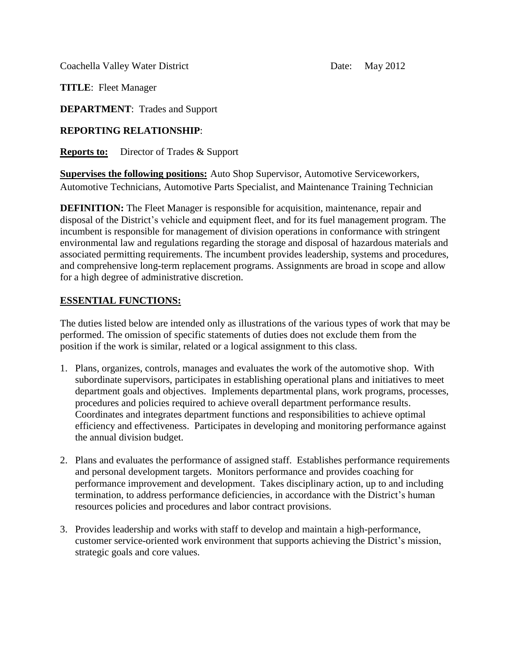Coachella Valley Water District Date: May 2012

**TITLE**: Fleet Manager

**DEPARTMENT**: Trades and Support

## **REPORTING RELATIONSHIP**:

**Reports to:** Director of Trades & Support

**Supervises the following positions:** Auto Shop Supervisor, Automotive Serviceworkers, Automotive Technicians, Automotive Parts Specialist, and Maintenance Training Technician

**DEFINITION:** The Fleet Manager is responsible for acquisition, maintenance, repair and disposal of the District's vehicle and equipment fleet, and for its fuel management program. The incumbent is responsible for management of division operations in conformance with stringent environmental law and regulations regarding the storage and disposal of hazardous materials and associated permitting requirements. The incumbent provides leadership, systems and procedures, and comprehensive long-term replacement programs. Assignments are broad in scope and allow for a high degree of administrative discretion.

## **ESSENTIAL FUNCTIONS:**

The duties listed below are intended only as illustrations of the various types of work that may be performed. The omission of specific statements of duties does not exclude them from the position if the work is similar, related or a logical assignment to this class.

- 1. Plans, organizes, controls, manages and evaluates the work of the automotive shop. With subordinate supervisors, participates in establishing operational plans and initiatives to meet department goals and objectives. Implements departmental plans, work programs, processes, procedures and policies required to achieve overall department performance results. Coordinates and integrates department functions and responsibilities to achieve optimal efficiency and effectiveness. Participates in developing and monitoring performance against the annual division budget.
- 2. Plans and evaluates the performance of assigned staff. Establishes performance requirements and personal development targets. Monitors performance and provides coaching for performance improvement and development. Takes disciplinary action, up to and including termination, to address performance deficiencies, in accordance with the District's human resources policies and procedures and labor contract provisions.
- 3. Provides leadership and works with staff to develop and maintain a high-performance, customer service-oriented work environment that supports achieving the District's mission, strategic goals and core values.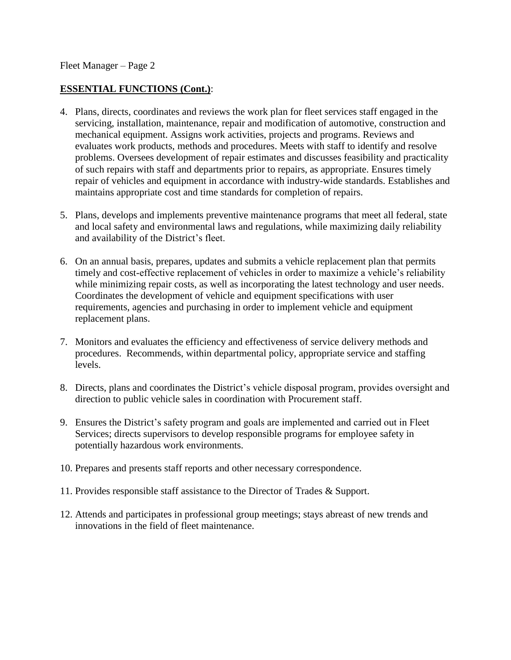Fleet Manager – Page 2

### **ESSENTIAL FUNCTIONS (Cont.)**:

- 4. Plans, directs, coordinates and reviews the work plan for fleet services staff engaged in the servicing, installation, maintenance, repair and modification of automotive, construction and mechanical equipment. Assigns work activities, projects and programs. Reviews and evaluates work products, methods and procedures. Meets with staff to identify and resolve problems. Oversees development of repair estimates and discusses feasibility and practicality of such repairs with staff and departments prior to repairs, as appropriate. Ensures timely repair of vehicles and equipment in accordance with industry-wide standards. Establishes and maintains appropriate cost and time standards for completion of repairs.
- 5. Plans, develops and implements preventive maintenance programs that meet all federal, state and local safety and environmental laws and regulations, while maximizing daily reliability and availability of the District's fleet.
- 6. On an annual basis, prepares, updates and submits a vehicle replacement plan that permits timely and cost-effective replacement of vehicles in order to maximize a vehicle's reliability while minimizing repair costs, as well as incorporating the latest technology and user needs. Coordinates the development of vehicle and equipment specifications with user requirements, agencies and purchasing in order to implement vehicle and equipment replacement plans.
- 7. Monitors and evaluates the efficiency and effectiveness of service delivery methods and procedures. Recommends, within departmental policy, appropriate service and staffing levels.
- 8. Directs, plans and coordinates the District's vehicle disposal program, provides oversight and direction to public vehicle sales in coordination with Procurement staff.
- 9. Ensures the District's safety program and goals are implemented and carried out in Fleet Services; directs supervisors to develop responsible programs for employee safety in potentially hazardous work environments.
- 10. Prepares and presents staff reports and other necessary correspondence.
- 11. Provides responsible staff assistance to the Director of Trades & Support.
- 12. Attends and participates in professional group meetings; stays abreast of new trends and innovations in the field of fleet maintenance.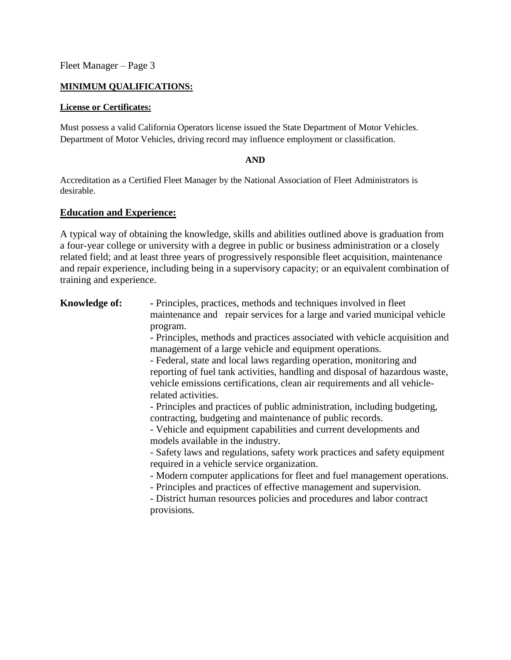Fleet Manager – Page 3

### **MINIMUM QUALIFICATIONS:**

#### **License or Certificates:**

Must possess a valid California Operators license issued the State Department of Motor Vehicles. Department of Motor Vehicles, driving record may influence employment or classification.

### **AND**

Accreditation as a Certified Fleet Manager by the National Association of Fleet Administrators is desirable.

### **Education and Experience:**

A typical way of obtaining the knowledge, skills and abilities outlined above is graduation from a four-year college or university with a degree in public or business administration or a closely related field; and at least three years of progressively responsible fleet acquisition, maintenance and repair experience, including being in a supervisory capacity; or an equivalent combination of training and experience.

**Knowledge of:** - Principles, practices, methods and techniques involved in fleet maintenance and repair services for a large and varied municipal vehicle program.

> - Principles, methods and practices associated with vehicle acquisition and management of a large vehicle and equipment operations.

> - Federal, state and local laws regarding operation, monitoring and reporting of fuel tank activities, handling and disposal of hazardous waste, vehicle emissions certifications, clean air requirements and all vehiclerelated activities.

- Principles and practices of public administration, including budgeting, contracting, budgeting and maintenance of public records.

- Vehicle and equipment capabilities and current developments and models available in the industry.

- Safety laws and regulations, safety work practices and safety equipment required in a vehicle service organization.

- Modern computer applications for fleet and fuel management operations.

- Principles and practices of effective management and supervision.

- District human resources policies and procedures and labor contract provisions.